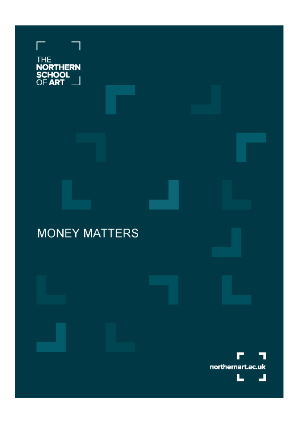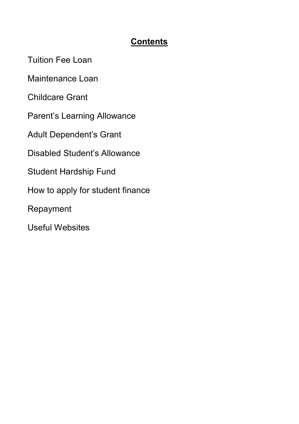#### **Contents**

Tuition Fee Loan

Maintenance Loan

Childcare Grant

Parent's Learning Allowance

Adult Dependent's Grant

Disabled Student's Allowance

Student Hardship Fund

How to apply for student finance

Repayment

Useful Websites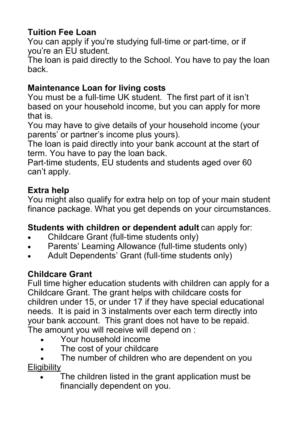## **Tuition Fee Loan**

You can apply if you're studying full-time or part-time, or if you're an EU student.

The loan is paid directly to the School. You have to pay the loan back.

## **Maintenance Loan for living costs**

You must be a full-time UK student. The first part of it isn't based on your household income, but you can apply for more that is.

You may have to give details of your household income (your parents' or partner's income plus yours).

The loan is paid directly into your bank account at the start of term. You have to pay the loan back.

Part-time students, EU students and students aged over 60 can't apply.

### **Extra help**

You might also qualify for extra help on top of your main student finance package. What you get depends on your circumstances.

### **Students with children or dependent adult** can apply for:

- Childcare Grant (full-time students only)
- Parents' Learning Allowance (full-time students only)
- Adult Dependents' Grant (full-time students only)

### **Childcare Grant**

Full time higher education students with children can apply for a Childcare Grant. The grant helps with childcare costs for children under 15, or under 17 if they have special educational needs. It is paid in 3 instalments over each term directly into your bank account. This grant does not have to be repaid. The amount you will receive will depend on :

- Your household income
- The cost of your childcare

The number of children who are dependent on you **Eligibility** 

The children listed in the grant application must be financially dependent on you.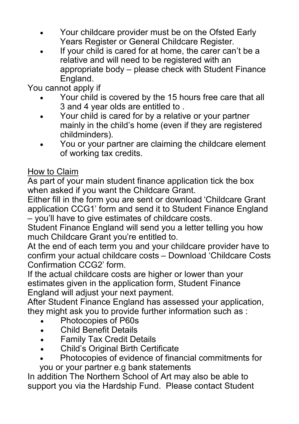- Your childcare provider must be on the Ofsted Early Years Register or General Childcare Register.
- If your child is cared for at home, the carer can't be a relative and will need to be registered with an appropriate body – please check with Student Finance England.

You cannot apply if

- Your child is covered by the 15 hours free care that all 3 and 4 year olds are entitled to .
- Your child is cared for by a relative or your partner mainly in the child's home (even if they are registered childminders).
- You or your partner are claiming the childcare element of working tax credits.

### How to Claim

As part of your main student finance application tick the box when asked if you want the Childcare Grant.

Either fill in the form you are sent or download 'Childcare Grant application CCG1' form and send it to Student Finance England – you'll have to give estimates of childcare costs.

Student Finance England will send you a letter telling you how much Childcare Grant you're entitled to.

At the end of each term you and your childcare provider have to confirm your actual childcare costs – Download 'Childcare Costs Confirmation CCG2' form.

If the actual childcare costs are higher or lower than your estimates given in the application form, Student Finance England will adjust your next payment.

After Student Finance England has assessed your application, they might ask you to provide further information such as :

- Photocopies of P60s
- Child Benefit Details
- Family Tax Credit Details
- Child's Original Birth Certificate
- Photocopies of evidence of financial commitments for you or your partner e.g bank statements

In addition The Northern School of Art may also be able to support you via the Hardship Fund. Please contact Student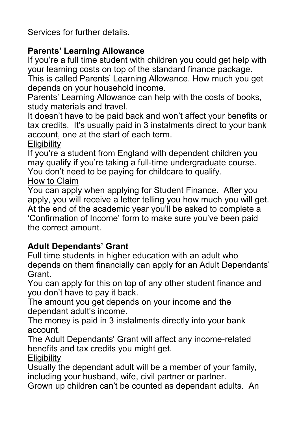Services for further details.

## **Parents' Learning Allowance**

If you're a full time student with children you could get help with your learning costs on top of the standard finance package.

This is called Parents' Learning Allowance. How much you get depends on your household income.

Parents' Learning Allowance can help with the costs of books, study materials and travel.

It doesn't have to be paid back and won't affect your benefits or tax credits. It's usually paid in 3 instalments direct to your bank account, one at the start of each term.

**Eligibility** 

If you're a student from England with dependent children you may qualify if you're taking a full-time undergraduate course.

You don't need to be paying for childcare to qualify.

How to Claim

You can apply when applying for Student Finance. After you apply, you will receive a letter telling you how much you will get. At the end of the academic year you'll be asked to complete a 'Confirmation of Income' form to make sure you've been paid the correct amount.

## **Adult Dependants' Grant**

Full time students in higher education with an adult who depends on them financially can apply for an Adult Dependants' Grant.

You can apply for this on top of any other student finance and you don't have to pay it back.

The amount you get depends on your income and the dependant adult's income.

The money is paid in 3 instalments directly into your bank account.

The Adult Dependants' Grant will affect any income-related benefits and tax credits you might get.

**Eligibility** 

Usually the dependant adult will be a member of your family, including your husband, wife, civil partner or partner.

Grown up children can't be counted as dependant adults. An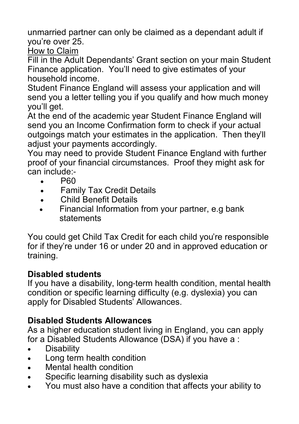unmarried partner can only be claimed as a dependant adult if you're over 25.

How to Claim

Fill in the Adult Dependants' Grant section on your main Student Finance application. You'll need to give estimates of your household income.

Student Finance England will assess your application and will send you a letter telling you if you qualify and how much money you'll get.

At the end of the academic year Student Finance England will send you an Income Confirmation form to check if your actual outgoings match your estimates in the application. Then they'll adiust your payments accordingly.

You may need to provide Student Finance England with further proof of your financial circumstances. Proof they might ask for can include:-

- P60
- Family Tax Credit Details
- Child Benefit Details
- Financial Information from your partner, e.g bank statements

You could get Child Tax Credit for each child you're responsible for if they're under 16 or under 20 and in approved education or training.

## **Disabled students**

If you have a disability, long-term health condition, mental health condition or specific learning difficulty (e.g. dyslexia) you can apply for Disabled Students' Allowances.

# **Disabled Students Allowances**

As a higher education student living in England, you can apply for a Disabled Students Allowance (DSA) if you have a :

- Disability
- Long term health condition
- Mental health condition
- Specific learning disability such as dyslexia
- You must also have a condition that affects your ability to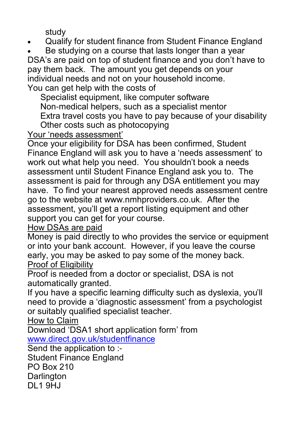study

- Qualify for student finance from Student Finance England
- Be studying on a course that lasts longer than a year

DSA's are paid on top of student finance and you don't have to pay them back. The amount you get depends on your individual needs and not on your household income. You can get help with the costs of

Specialist equipment, like computer software Non-medical helpers, such as a specialist mentor Extra travel costs you have to pay because of your disability Other costs such as photocopying

Your 'needs assessment'

Once your eligibility for DSA has been confirmed, Student Finance England will ask you to have a 'needs assessment' to work out what help you need. You shouldn't book a needs assessment until Student Finance England ask you to. The assessment is paid for through any DSA entitlement you may have. To find your nearest approved needs assessment centre go to the website at www.nmhproviders.co.uk. After the assessment, you'll get a report listing equipment and other support you can get for your course.

#### How DSAs are paid

Money is paid directly to who provides the service or equipment or into your bank account. However, if you leave the course early, you may be asked to pay some of the money back. Proof of Eligibility

Proof is needed from a doctor or specialist, DSA is not automatically granted.

If you have a specific learning difficulty such as dyslexia, you'll need to provide a 'diagnostic assessment' from a psychologist or suitably qualified specialist teacher.

How to Claim

Download 'DSA1 short application form' from [www.direct.gov.uk/studentfinance](http://www.direct.gov.uk/studentfinance)

Send the application to :- Student Finance England PO Box 210 Darlington DL1 9HJ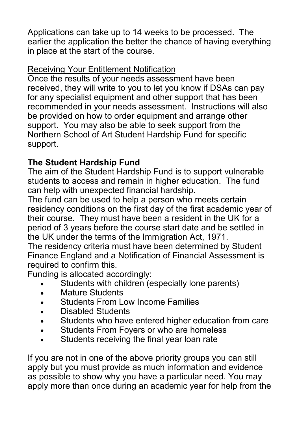Applications can take up to 14 weeks to be processed. The earlier the application the better the chance of having everything in place at the start of the course.

#### Receiving Your Entitlement Notification

Once the results of your needs assessment have been received, they will write to you to let you know if DSAs can pay for any specialist equipment and other support that has been recommended in your needs assessment. Instructions will also be provided on how to order equipment and arrange other support. You may also be able to seek support from the Northern School of Art Student Hardship Fund for specific support.

## **The Student Hardship Fund**

The aim of the Student Hardship Fund is to support vulnerable students to access and remain in higher education. The fund can help with unexpected financial hardship.

The fund can be used to help a person who meets certain residency conditions on the first day of the first academic year of their course. They must have been a resident in the UK for a period of 3 years before the course start date and be settled in the UK under the terms of the Immigration Act, 1971.

The residency criteria must have been determined by Student Finance England and a Notification of Financial Assessment is required to confirm this.

Funding is allocated accordingly:

- Students with children (especially lone parents)
- Mature Students
- Students From Low Income Families
- Disabled Students
- Students who have entered higher education from care
- Students From Fovers or who are homeless
- Students receiving the final year loan rate

If you are not in one of the above priority groups you can still apply but you must provide as much information and evidence as possible to show why you have a particular need. You may apply more than once during an academic year for help from the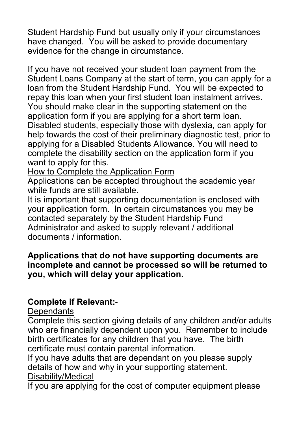Student Hardship Fund but usually only if your circumstances have changed. You will be asked to provide documentary evidence for the change in circumstance.

If you have not received your student loan payment from the Student Loans Company at the start of term, you can apply for a loan from the Student Hardship Fund. You will be expected to repay this loan when your first student loan instalment arrives. You should make clear in the supporting statement on the application form if you are applying for a short term loan. Disabled students, especially those with dyslexia, can apply for help towards the cost of their preliminary diagnostic test, prior to applying for a Disabled Students Allowance. You will need to complete the disability section on the application form if you want to apply for this.

How to Complete the Application Form

Applications can be accepted throughout the academic year while funds are still available.

It is important that supporting documentation is enclosed with your application form. In certain circumstances you may be contacted separately by the Student Hardship Fund Administrator and asked to supply relevant / additional documents / information.

#### **Applications that do not have supporting documents are incomplete and cannot be processed so will be returned to you, which will delay your application.**

#### **Complete if Relevant:-**

#### **Dependants**

Complete this section giving details of any children and/or adults who are financially dependent upon you. Remember to include birth certificates for any children that you have. The birth certificate must contain parental information.

If you have adults that are dependant on you please supply details of how and why in your supporting statement. Disability/Medical

If you are applying for the cost of computer equipment please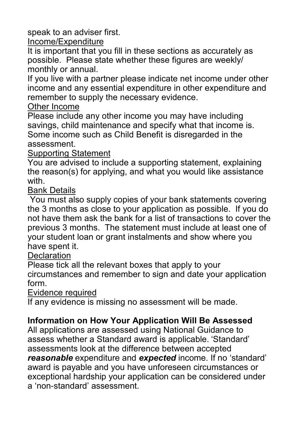speak to an adviser first.

Income/Expenditure

It is important that you fill in these sections as accurately as possible. Please state whether these figures are weekly/ monthly or annual.

If you live with a partner please indicate net income under other income and any essential expenditure in other expenditure and remember to supply the necessary evidence.

Other Income

Please include any other income you may have including savings, child maintenance and specify what that income is. Some income such as Child Benefit is disregarded in the assessment.

Supporting Statement

You are advised to include a supporting statement, explaining the reason(s) for applying, and what you would like assistance with.

#### Bank Details

You must also supply copies of your bank statements covering the 3 months as close to your application as possible. If you do not have them ask the bank for a list of transactions to cover the previous 3 months. The statement must include at least one of your student loan or grant instalments and show where you have spent it.

#### **Declaration**

Please tick all the relevant boxes that apply to your circumstances and remember to sign and date your application

form.

Evidence required

If any evidence is missing no assessment will be made.

## **Information on How Your Application Will Be Assessed**

All applications are assessed using National Guidance to assess whether a Standard award is applicable. 'Standard' assessments look at the difference between accepted *reasonable* expenditure and *expected* income. If no 'standard' award is payable and you have unforeseen circumstances or exceptional hardship your application can be considered under a 'non-standard' assessment.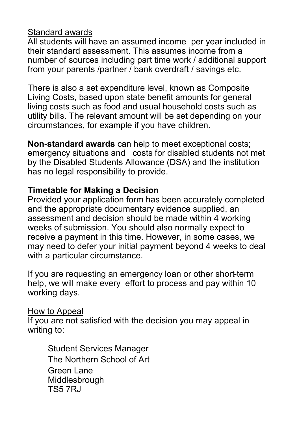#### Standard awards

All students will have an assumed income per year included in their standard assessment. This assumes income from a number of sources including part time work / additional support from your parents /partner / bank overdraft / savings etc.

There is also a set expenditure level, known as Composite Living Costs, based upon state benefit amounts for general living costs such as food and usual household costs such as utility bills. The relevant amount will be set depending on your circumstances, for example if you have children.

**Non-standard awards** can help to meet exceptional costs; emergency situations and costs for disabled students not met by the Disabled Students Allowance (DSA) and the institution has no legal responsibility to provide.

#### **Timetable for Making a Decision**

Provided your application form has been accurately completed and the appropriate documentary evidence supplied, an assessment and decision should be made within 4 working weeks of submission. You should also normally expect to receive a payment in this time. However, in some cases, we may need to defer your initial payment beyond 4 weeks to deal with a particular circumstance.

If you are requesting an emergency loan or other short-term help, we will make every effort to process and pay within 10 working days.

#### How to Appeal

If you are not satisfied with the decision you may appeal in writing to:

Student Services Manager The Northern School of Art Green Lane Middlesbrough TS5 7RJ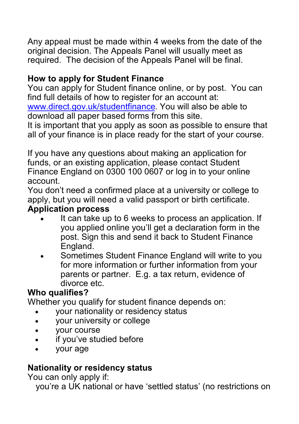Any appeal must be made within 4 weeks from the date of the original decision. The Appeals Panel will usually meet as required. The decision of the Appeals Panel will be final.

## **How to apply for Student Finance**

You can apply for Student finance online, or by post. You can find full details of how to register for an account at: [www.direct.gov.uk/studentfinance.](http://www.direct.gov.uk/studentfinance) You will also be able to download all paper based forms from this site.

It is important that you apply as soon as possible to ensure that all of your finance is in place ready for the start of your course.

If you have any questions about making an application for funds, or an existing application, please contact Student Finance England on 0300 100 0607 or log in to your online account.

You don't need a confirmed place at a university or college to apply, but you will need a valid passport or birth certificate.

#### **Application process**

- It can take up to 6 weeks to process an application. If you applied online you'll get a declaration form in the post. Sign this and send it back to Student Finance England.
- Sometimes Student Finance England will write to you for more information or further information from your parents or partner. E.g. a tax return, evidence of divorce etc.

### **Who qualifies?**

Whether you qualify for student finance depends on:

- your nationality or residency status
- your university or college
- your course
- if you've studied before
- your age

## **Nationality or residency status**

You can only apply if:

you're a UK national or have 'settled status' (no restrictions on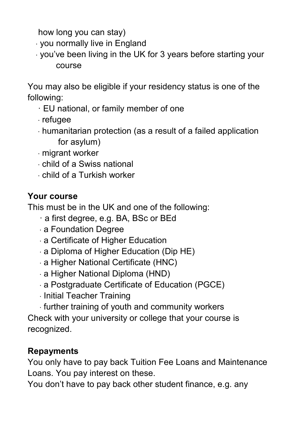how long you can stay)

- · you normally live in England
- · you've been living in the UK for 3 years before starting your course

You may also be eligible if your residency status is one of the following:

- · EU national, or family member of one
- · refugee
- · humanitarian protection (as a result of a failed application for asylum)
- · migrant worker
- · child of a Swiss national
- · child of a Turkish worker

# **Your course**

This must be in the UK and one of the following:

- · a first degree, e.g. BA, BSc or BEd
- · a Foundation Degree
- · a Certificate of Higher Education
- · a Diploma of Higher Education (Dip HE)
- · a Higher National Certificate (HNC)
- · a Higher National Diploma (HND)
- · a Postgraduate Certificate of Education (PGCE)
- · Initial Teacher Training
- · further training of youth and community workers

Check with your university or college that your course is recognized.

# **Repayments**

You only have to pay back Tuition Fee Loans and Maintenance Loans. You pay interest on these.

You don't have to pay back other student finance, e.g. any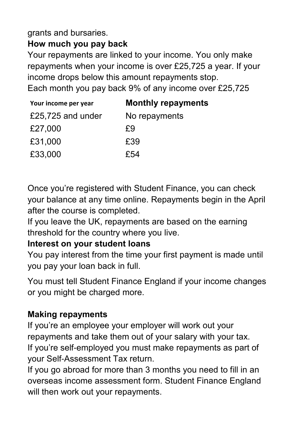### grants and bursaries.

# **How much you pay back**

Your repayments are linked to your income. You only make repayments when your income is over £25,725 a year. If your income drops below this amount repayments stop. Each month you pay back 9% of any income over £25,725

| Your income per year | <b>Monthly repayments</b> |
|----------------------|---------------------------|
| £25,725 and under    | No repayments             |
| £27,000              | £9                        |
| £31,000              | £39                       |
| £33,000              | £54                       |

Once you're registered with Student Finance, you can check your balance at any time online. Repayments begin in the April after the course is completed.

If you leave the UK, repayments are based on the earning threshold for the country where you live.

## **Interest on your student loans**

You pay interest from the time your first payment is made until you pay your loan back in full.

You must tell Student Finance England if your income changes or you might be charged more.

# **Making repayments**

If you're an employee your employer will work out your repayments and take them out of your salary with your tax. If you're self-employed you must make repayments as part of your Self-Assessment Tax return.

If you go abroad for more than 3 months you need to fill in an overseas income assessment form. Student Finance England will then work out your repayments.